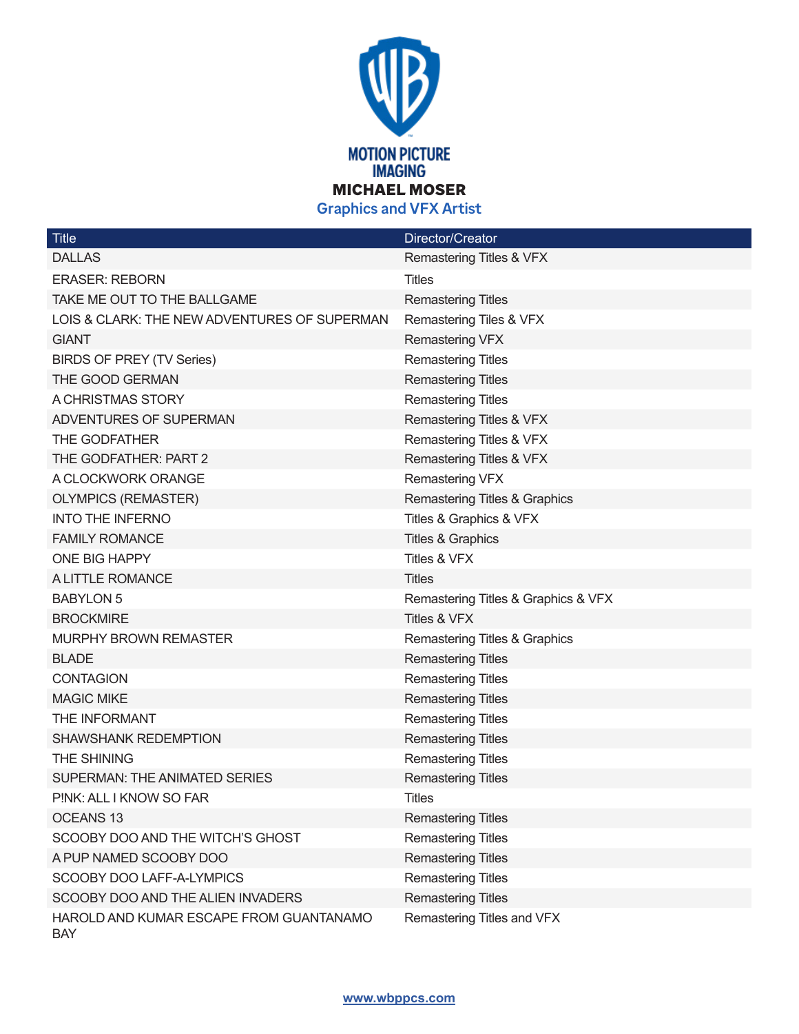

| <b>Title</b>                                          | Director/Creator                    |
|-------------------------------------------------------|-------------------------------------|
| <b>DALLAS</b>                                         | Remastering Titles & VFX            |
| <b>ERASER: REBORN</b>                                 | <b>Titles</b>                       |
| TAKE ME OUT TO THE BALLGAME                           | <b>Remastering Titles</b>           |
| LOIS & CLARK: THE NEW ADVENTURES OF SUPERMAN          | Remastering Tiles & VFX             |
| <b>GIANT</b>                                          | Remastering VFX                     |
| <b>BIRDS OF PREY (TV Series)</b>                      | <b>Remastering Titles</b>           |
| THE GOOD GERMAN                                       | <b>Remastering Titles</b>           |
| A CHRISTMAS STORY                                     | <b>Remastering Titles</b>           |
| ADVENTURES OF SUPERMAN                                | Remastering Titles & VFX            |
| THE GODFATHER                                         | Remastering Titles & VFX            |
| THE GODFATHER: PART 2                                 | Remastering Titles & VFX            |
| A CLOCKWORK ORANGE                                    | Remastering VFX                     |
| <b>OLYMPICS (REMASTER)</b>                            | Remastering Titles & Graphics       |
| <b>INTO THE INFERNO</b>                               | Titles & Graphics & VFX             |
| <b>FAMILY ROMANCE</b>                                 | <b>Titles &amp; Graphics</b>        |
| ONE BIG HAPPY                                         | Titles & VFX                        |
| A LITTLE ROMANCE                                      | <b>Titles</b>                       |
| <b>BABYLON 5</b>                                      | Remastering Titles & Graphics & VFX |
| <b>BROCKMIRE</b>                                      | Titles & VFX                        |
| <b>MURPHY BROWN REMASTER</b>                          | Remastering Titles & Graphics       |
| <b>BLADE</b>                                          | <b>Remastering Titles</b>           |
| <b>CONTAGION</b>                                      | <b>Remastering Titles</b>           |
| <b>MAGIC MIKE</b>                                     | <b>Remastering Titles</b>           |
| THE INFORMANT                                         | <b>Remastering Titles</b>           |
| <b>SHAWSHANK REDEMPTION</b>                           | <b>Remastering Titles</b>           |
| THE SHINING                                           | <b>Remastering Titles</b>           |
| SUPERMAN: THE ANIMATED SERIES                         | <b>Remastering Titles</b>           |
| PINK: ALL I KNOW SO FAR                               | <b>Titles</b>                       |
| <b>OCEANS 13</b>                                      | <b>Remastering Titles</b>           |
| SCOOBY DOO AND THE WITCH'S GHOST                      | <b>Remastering Titles</b>           |
| A PUP NAMED SCOOBY DOO                                | <b>Remastering Titles</b>           |
| SCOOBY DOO LAFF-A-LYMPICS                             | <b>Remastering Titles</b>           |
| SCOOBY DOO AND THE ALIEN INVADERS                     | <b>Remastering Titles</b>           |
| HAROLD AND KUMAR ESCAPE FROM GUANTANAMO<br><b>BAY</b> | Remastering Titles and VFX          |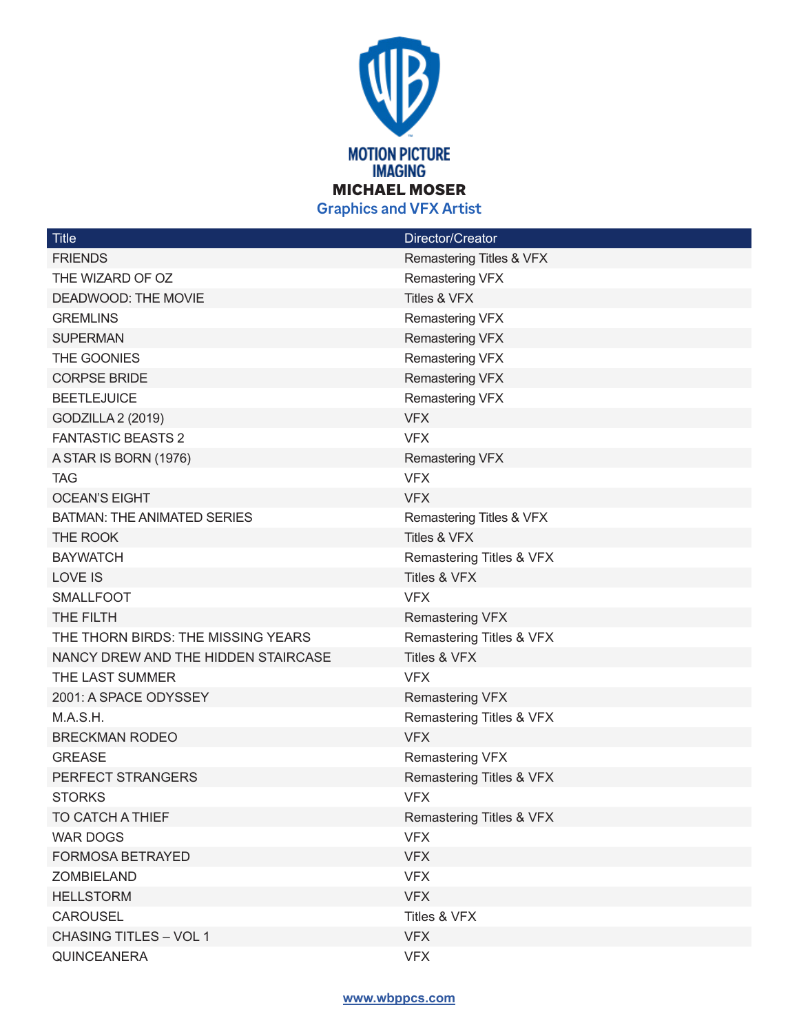

| <b>Title</b>                        | Director/Creator         |
|-------------------------------------|--------------------------|
| <b>FRIENDS</b>                      | Remastering Titles & VFX |
| THE WIZARD OF OZ                    | Remastering VFX          |
| DEADWOOD: THE MOVIE                 | Titles & VFX             |
| <b>GREMLINS</b>                     | Remastering VFX          |
| <b>SUPERMAN</b>                     | <b>Remastering VFX</b>   |
| THE GOONIES                         | Remastering VFX          |
| <b>CORPSE BRIDE</b>                 | Remastering VFX          |
| <b>BEETLEJUICE</b>                  | Remastering VFX          |
| GODZILLA 2 (2019)                   | <b>VFX</b>               |
| <b>FANTASTIC BEASTS 2</b>           | <b>VFX</b>               |
| A STAR IS BORN (1976)               | <b>Remastering VFX</b>   |
| <b>TAG</b>                          | <b>VFX</b>               |
| <b>OCEAN'S EIGHT</b>                | <b>VFX</b>               |
| <b>BATMAN: THE ANIMATED SERIES</b>  | Remastering Titles & VFX |
| THE ROOK                            | Titles & VFX             |
| <b>BAYWATCH</b>                     | Remastering Titles & VFX |
| <b>LOVE IS</b>                      | Titles & VFX             |
| <b>SMALLFOOT</b>                    | <b>VFX</b>               |
| THE FILTH                           | Remastering VFX          |
| THE THORN BIRDS: THE MISSING YEARS  | Remastering Titles & VFX |
| NANCY DREW AND THE HIDDEN STAIRCASE | Titles & VFX             |
| THE LAST SUMMER                     | <b>VFX</b>               |
| 2001: A SPACE ODYSSEY               | Remastering VFX          |
| M.A.S.H.                            | Remastering Titles & VFX |
| <b>BRECKMAN RODEO</b>               | <b>VFX</b>               |
| <b>GREASE</b>                       | <b>Remastering VFX</b>   |
| PERFECT STRANGERS                   | Remastering Titles & VFX |
| <b>STORKS</b>                       | <b>VFX</b>               |
| TO CATCH A THIEF                    | Remastering Titles & VFX |
| <b>WAR DOGS</b>                     | <b>VFX</b>               |
| <b>FORMOSA BETRAYED</b>             | <b>VFX</b>               |
| ZOMBIELAND                          | <b>VFX</b>               |
| <b>HELLSTORM</b>                    | <b>VFX</b>               |
| CAROUSEL                            | Titles & VFX             |
| <b>CHASING TITLES - VOL 1</b>       | <b>VFX</b>               |
| <b>QUINCEANERA</b>                  | <b>VFX</b>               |